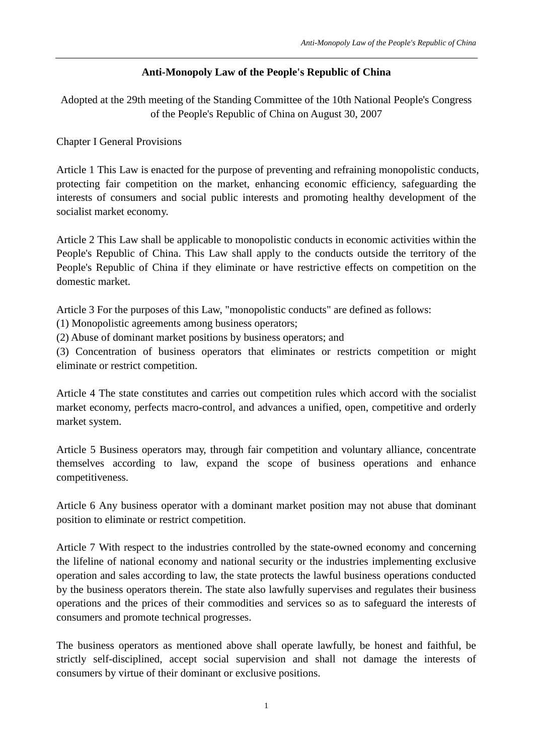## **Anti-Monopoly Law of the People's Republic of China**

Adopted at the 29th meeting of the Standing Committee of the 10th National People's Congress of the People's Republic of China on August 30, 2007

Chapter I General Provisions

Article 1 This Law is enacted for the purpose of preventing and refraining monopolistic conducts, protecting fair competition on the market, enhancing economic efficiency, safeguarding the interests of consumers and social public interests and promoting healthy development of the socialist market economy.

Article 2 This Law shall be applicable to monopolistic conducts in economic activities within the People's Republic of China. This Law shall apply to the conducts outside the territory of the People's Republic of China if they eliminate or have restrictive effects on competition on the domestic market.

Article 3 For the purposes of this Law, "monopolistic conducts" are defined as follows:

(1) Monopolistic agreements among business operators;

(2) Abuse of dominant market positions by business operators; and

(3) Concentration of business operators that eliminates or restricts competition or might eliminate or restrict competition.

Article 4 The state constitutes and carries out competition rules which accord with the socialist market economy, perfects macro-control, and advances a unified, open, competitive and orderly market system.

Article 5 Business operators may, through fair competition and voluntary alliance, concentrate themselves according to law, expand the scope of business operations and enhance competitiveness.

Article 6 Any business operator with a dominant market position may not abuse that dominant position to eliminate or restrict competition.

Article 7 With respect to the industries controlled by the state-owned economy and concerning the lifeline of national economy and national security or the industries implementing exclusive operation and sales according to law, the state protects the lawful business operations conducted by the business operators therein. The state also lawfully supervises and regulates their business operations and the prices of their commodities and services so as to safeguard the interests of consumers and promote technical progresses.

The business operators as mentioned above shall operate lawfully, be honest and faithful, be strictly self-disciplined, accept social supervision and shall not damage the interests of consumers by virtue of their dominant or exclusive positions.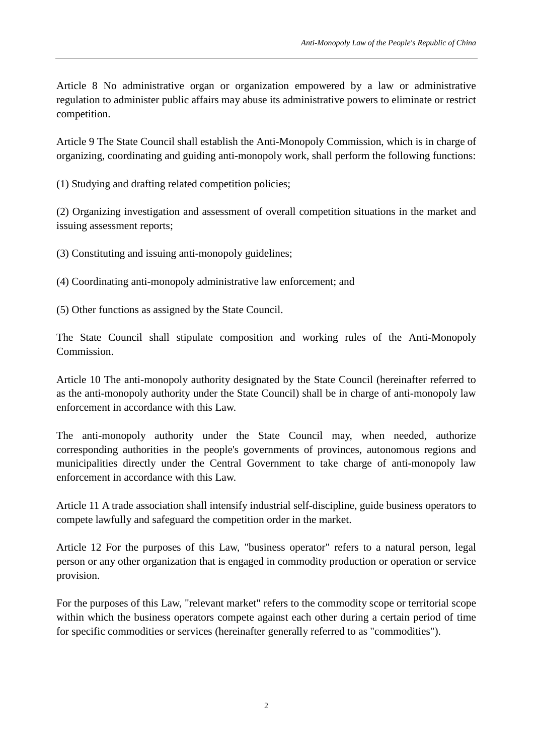Article 8 No administrative organ or organization empowered by a law or administrative regulation to administer public affairs may abuse its administrative powers to eliminate or restrict competition.

Article 9 The State Council shall establish the Anti-Monopoly Commission, which is in charge of organizing, coordinating and guiding anti-monopoly work, shall perform the following functions:

(1) Studying and drafting related competition policies;

(2) Organizing investigation and assessment of overall competition situations in the market and issuing assessment reports;

(3) Constituting and issuing anti-monopoly guidelines;

(4) Coordinating anti-monopoly administrative law enforcement; and

(5) Other functions as assigned by the State Council.

The State Council shall stipulate composition and working rules of the Anti-Monopoly Commission.

Article 10 The anti-monopoly authority designated by the State Council (hereinafter referred to as the anti-monopoly authority under the State Council) shall be in charge of anti-monopoly law enforcement in accordance with this Law.

The anti-monopoly authority under the State Council may, when needed, authorize corresponding authorities in the people's governments of provinces, autonomous regions and municipalities directly under the Central Government to take charge of anti-monopoly law enforcement in accordance with this Law.

Article 11 A trade association shall intensify industrial self-discipline, guide business operators to compete lawfully and safeguard the competition order in the market.

Article 12 For the purposes of this Law, "business operator" refers to a natural person, legal person or any other organization that is engaged in commodity production or operation or service provision.

For the purposes of this Law, "relevant market" refers to the commodity scope or territorial scope within which the business operators compete against each other during a certain period of time for specific commodities or services (hereinafter generally referred to as "commodities").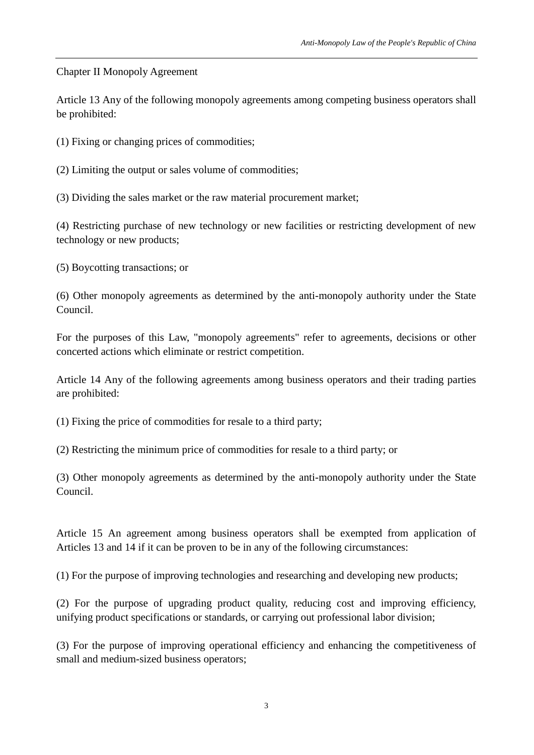Chapter II Monopoly Agreement

Article 13 Any of the following monopoly agreements among competing business operators shall be prohibited:

(1) Fixing or changing prices of commodities;

(2) Limiting the output or sales volume of commodities;

(3) Dividing the sales market or the raw material procurement market;

(4) Restricting purchase of new technology or new facilities or restricting development of new technology or new products;

(5) Boycotting transactions; or

(6) Other monopoly agreements as determined by the anti-monopoly authority under the State Council.

For the purposes of this Law, "monopoly agreements" refer to agreements, decisions or other concerted actions which eliminate or restrict competition.

Article 14 Any of the following agreements among business operators and their trading parties are prohibited:

(1) Fixing the price of commodities for resale to a third party;

(2) Restricting the minimum price of commodities for resale to a third party; or

(3) Other monopoly agreements as determined by the anti-monopoly authority under the State Council.

Article 15 An agreement among business operators shall be exempted from application of Articles 13 and 14 if it can be proven to be in any of the following circumstances:

(1) For the purpose of improving technologies and researching and developing new products;

(2) For the purpose of upgrading product quality, reducing cost and improving efficiency, unifying product specifications or standards, or carrying out professional labor division;

(3) For the purpose of improving operational efficiency and enhancing the competitiveness of small and medium-sized business operators;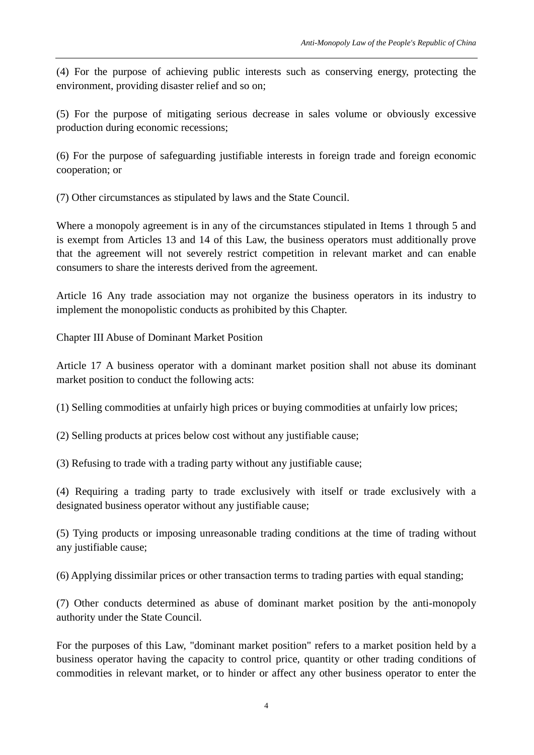(4) For the purpose of achieving public interests such as conserving energy, protecting the environment, providing disaster relief and so on;

(5) For the purpose of mitigating serious decrease in sales volume or obviously excessive production during economic recessions;

(6) For the purpose of safeguarding justifiable interests in foreign trade and foreign economic cooperation; or

(7) Other circumstances as stipulated by laws and the State Council.

Where a monopoly agreement is in any of the circumstances stipulated in Items 1 through 5 and is exempt from Articles 13 and 14 of this Law, the business operators must additionally prove that the agreement will not severely restrict competition in relevant market and can enable consumers to share the interests derived from the agreement.

Article 16 Any trade association may not organize the business operators in its industry to implement the monopolistic conducts as prohibited by this Chapter.

Chapter III Abuse of Dominant Market Position

Article 17 A business operator with a dominant market position shall not abuse its dominant market position to conduct the following acts:

(1) Selling commodities at unfairly high prices or buying commodities at unfairly low prices;

(2) Selling products at prices below cost without any justifiable cause;

(3) Refusing to trade with a trading party without any justifiable cause;

(4) Requiring a trading party to trade exclusively with itself or trade exclusively with a designated business operator without any justifiable cause;

(5) Tying products or imposing unreasonable trading conditions at the time of trading without any justifiable cause;

(6) Applying dissimilar prices or other transaction terms to trading parties with equal standing;

(7) Other conducts determined as abuse of dominant market position by the anti-monopoly authority under the State Council.

For the purposes of this Law, "dominant market position" refers to a market position held by a business operator having the capacity to control price, quantity or other trading conditions of commodities in relevant market, or to hinder or affect any other business operator to enter the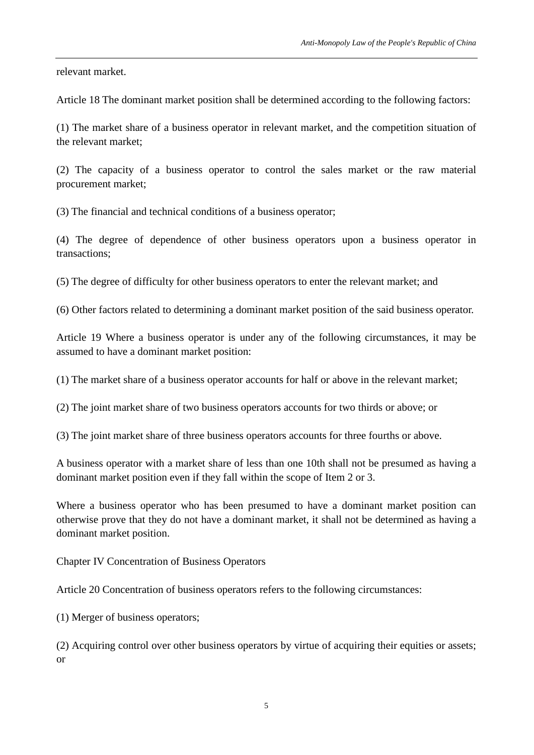relevant market.

Article 18 The dominant market position shall be determined according to the following factors:

(1) The market share of a business operator in relevant market, and the competition situation of the relevant market;

(2) The capacity of a business operator to control the sales market or the raw material procurement market;

(3) The financial and technical conditions of a business operator;

(4) The degree of dependence of other business operators upon a business operator in transactions;

(5) The degree of difficulty for other business operators to enter the relevant market; and

(6) Other factors related to determining a dominant market position of the said business operator.

Article 19 Where a business operator is under any of the following circumstances, it may be assumed to have a dominant market position:

(1) The market share of a business operator accounts for half or above in the relevant market;

(2) The joint market share of two business operators accounts for two thirds or above; or

(3) The joint market share of three business operators accounts for three fourths or above.

A business operator with a market share of less than one 10th shall not be presumed as having a dominant market position even if they fall within the scope of Item 2 or 3.

Where a business operator who has been presumed to have a dominant market position can otherwise prove that they do not have a dominant market, it shall not be determined as having a dominant market position.

Chapter IV Concentration of Business Operators

Article 20 Concentration of business operators refers to the following circumstances:

(1) Merger of business operators;

(2) Acquiring control over other business operators by virtue of acquiring their equities or assets; or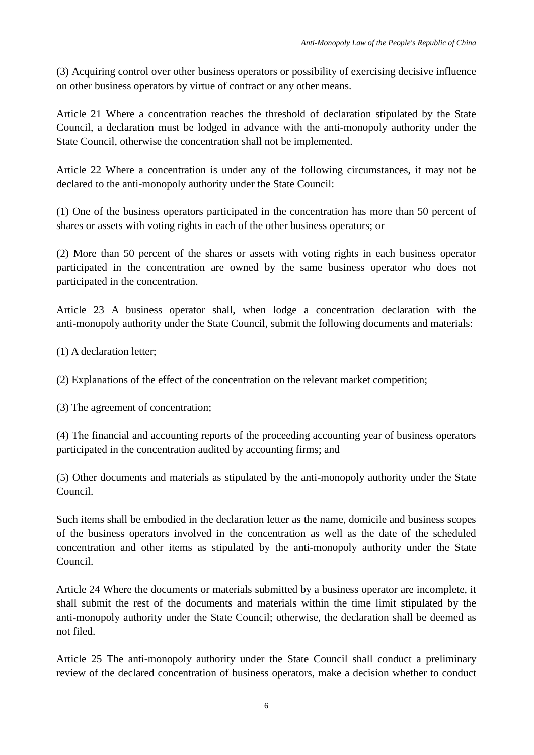(3) Acquiring control over other business operators or possibility of exercising decisive influence on other business operators by virtue of contract or any other means.

Article 21 Where a concentration reaches the threshold of declaration stipulated by the State Council, a declaration must be lodged in advance with the anti-monopoly authority under the State Council, otherwise the concentration shall not be implemented.

Article 22 Where a concentration is under any of the following circumstances, it may not be declared to the anti-monopoly authority under the State Council:

(1) One of the business operators participated in the concentration has more than 50 percent of shares or assets with voting rights in each of the other business operators; or

(2) More than 50 percent of the shares or assets with voting rights in each business operator participated in the concentration are owned by the same business operator who does not participated in the concentration.

Article 23 A business operator shall, when lodge a concentration declaration with the anti-monopoly authority under the State Council, submit the following documents and materials:

(1) A declaration letter;

(2) Explanations of the effect of the concentration on the relevant market competition;

(3) The agreement of concentration;

(4) The financial and accounting reports of the proceeding accounting year of business operators participated in the concentration audited by accounting firms; and

(5) Other documents and materials as stipulated by the anti-monopoly authority under the State Council.

Such items shall be embodied in the declaration letter as the name, domicile and business scopes of the business operators involved in the concentration as well as the date of the scheduled concentration and other items as stipulated by the anti-monopoly authority under the State Council.

Article 24 Where the documents or materials submitted by a business operator are incomplete, it shall submit the rest of the documents and materials within the time limit stipulated by the anti-monopoly authority under the State Council; otherwise, the declaration shall be deemed as not filed.

Article 25 The anti-monopoly authority under the State Council shall conduct a preliminary review of the declared concentration of business operators, make a decision whether to conduct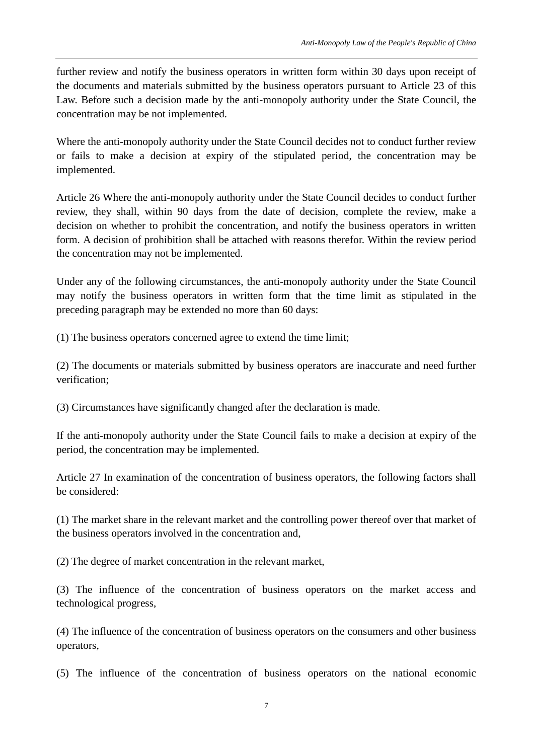further review and notify the business operators in written form within 30 days upon receipt of the documents and materials submitted by the business operators pursuant to Article 23 of this Law. Before such a decision made by the anti-monopoly authority under the State Council, the concentration may be not implemented.

Where the anti-monopoly authority under the State Council decides not to conduct further review or fails to make a decision at expiry of the stipulated period, the concentration may be implemented.

Article 26 Where the anti-monopoly authority under the State Council decides to conduct further review, they shall, within 90 days from the date of decision, complete the review, make a decision on whether to prohibit the concentration, and notify the business operators in written form. A decision of prohibition shall be attached with reasons therefor. Within the review period the concentration may not be implemented.

Under any of the following circumstances, the anti-monopoly authority under the State Council may notify the business operators in written form that the time limit as stipulated in the preceding paragraph may be extended no more than 60 days:

(1) The business operators concerned agree to extend the time limit;

(2) The documents or materials submitted by business operators are inaccurate and need further verification;

(3) Circumstances have significantly changed after the declaration is made.

If the anti-monopoly authority under the State Council fails to make a decision at expiry of the period, the concentration may be implemented.

Article 27 In examination of the concentration of business operators, the following factors shall be considered:

(1) The market share in the relevant market and the controlling power thereof over that market of the business operators involved in the concentration and,

(2) The degree of market concentration in the relevant market,

(3) The influence of the concentration of business operators on the market access and technological progress,

(4) The influence of the concentration of business operators on the consumers and other business operators,

(5) The influence of the concentration of business operators on the national economic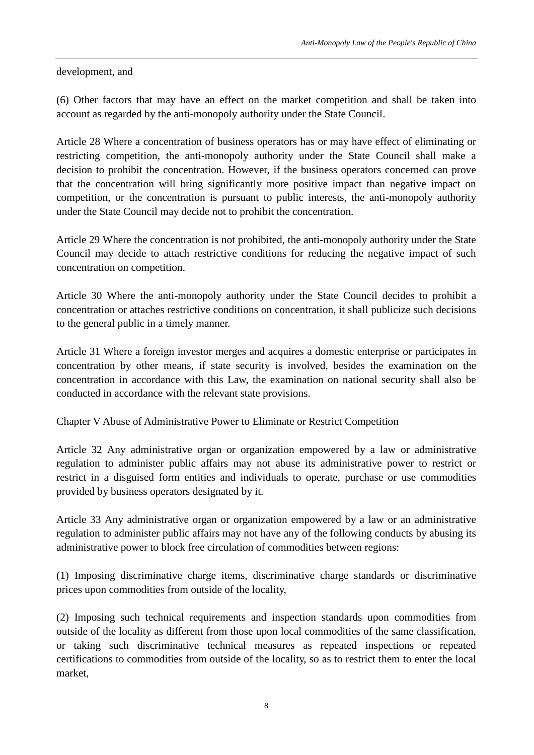development, and

(6) Other factors that may have an effect on the market competition and shall be taken into account as regarded by the anti-monopoly authority under the State Council.

Article 28 Where a concentration of business operators has or may have effect of eliminating or restricting competition, the anti-monopoly authority under the State Council shall make a decision to prohibit the concentration. However, if the business operators concerned can prove that the concentration will bring significantly more positive impact than negative impact on competition, or the concentration is pursuant to public interests, the anti-monopoly authority under the State Council may decide not to prohibit the concentration.

Article 29 Where the concentration is not prohibited, the anti-monopoly authority under the State Council may decide to attach restrictive conditions for reducing the negative impact of such concentration on competition.

Article 30 Where the anti-monopoly authority under the State Council decides to prohibit a concentration or attaches restrictive conditions on concentration, it shall publicize such decisions to the general public in a timely manner.

Article 31 Where a foreign investor merges and acquires a domestic enterprise or participates in concentration by other means, if state security is involved, besides the examination on the concentration in accordance with this Law, the examination on national security shall also be conducted in accordance with the relevant state provisions.

Chapter V Abuse of Administrative Power to Eliminate or Restrict Competition

Article 32 Any administrative organ or organization empowered by a law or administrative regulation to administer public affairs may not abuse its administrative power to restrict or restrict in a disguised form entities and individuals to operate, purchase or use commodities provided by business operators designated by it.

Article 33 Any administrative organ or organization empowered by a law or an administrative regulation to administer public affairs may not have any of the following conducts by abusing its administrative power to block free circulation of commodities between regions:

(1) Imposing discriminative charge items, discriminative charge standards or discriminative prices upon commodities from outside of the locality,

(2) Imposing such technical requirements and inspection standards upon commodities from outside of the locality as different from those upon local commodities of the same classification, or taking such discriminative technical measures as repeated inspections or repeated certifications to commodities from outside of the locality, so as to restrict them to enter the local market,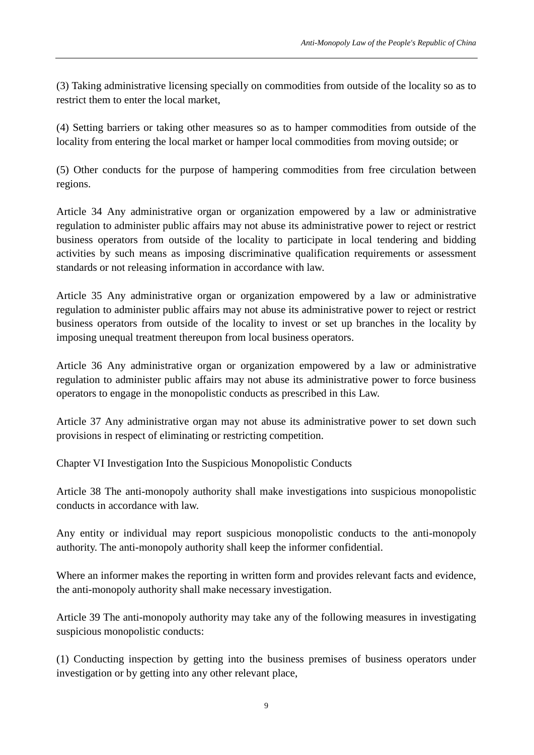(3) Taking administrative licensing specially on commodities from outside of the locality so as to restrict them to enter the local market,

(4) Setting barriers or taking other measures so as to hamper commodities from outside of the locality from entering the local market or hamper local commodities from moving outside; or

(5) Other conducts for the purpose of hampering commodities from free circulation between regions.

Article 34 Any administrative organ or organization empowered by a law or administrative regulation to administer public affairs may not abuse its administrative power to reject or restrict business operators from outside of the locality to participate in local tendering and bidding activities by such means as imposing discriminative qualification requirements or assessment standards or not releasing information in accordance with law.

Article 35 Any administrative organ or organization empowered by a law or administrative regulation to administer public affairs may not abuse its administrative power to reject or restrict business operators from outside of the locality to invest or set up branches in the locality by imposing unequal treatment thereupon from local business operators.

Article 36 Any administrative organ or organization empowered by a law or administrative regulation to administer public affairs may not abuse its administrative power to force business operators to engage in the monopolistic conducts as prescribed in this Law.

Article 37 Any administrative organ may not abuse its administrative power to set down such provisions in respect of eliminating or restricting competition.

Chapter VI Investigation Into the Suspicious Monopolistic Conducts

Article 38 The anti-monopoly authority shall make investigations into suspicious monopolistic conducts in accordance with law.

Any entity or individual may report suspicious monopolistic conducts to the anti-monopoly authority. The anti-monopoly authority shall keep the informer confidential.

Where an informer makes the reporting in written form and provides relevant facts and evidence, the anti-monopoly authority shall make necessary investigation.

Article 39 The anti-monopoly authority may take any of the following measures in investigating suspicious monopolistic conducts:

(1) Conducting inspection by getting into the business premises of business operators under investigation or by getting into any other relevant place,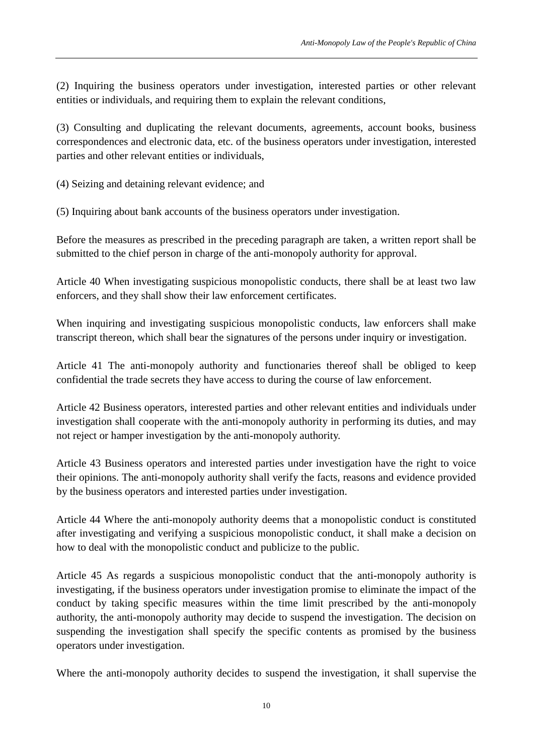(2) Inquiring the business operators under investigation, interested parties or other relevant entities or individuals, and requiring them to explain the relevant conditions,

(3) Consulting and duplicating the relevant documents, agreements, account books, business correspondences and electronic data, etc. of the business operators under investigation, interested parties and other relevant entities or individuals,

(4) Seizing and detaining relevant evidence; and

(5) Inquiring about bank accounts of the business operators under investigation.

Before the measures as prescribed in the preceding paragraph are taken, a written report shall be submitted to the chief person in charge of the anti-monopoly authority for approval.

Article 40 When investigating suspicious monopolistic conducts, there shall be at least two law enforcers, and they shall show their law enforcement certificates.

When inquiring and investigating suspicious monopolistic conducts, law enforcers shall make transcript thereon, which shall bear the signatures of the persons under inquiry or investigation.

Article 41 The anti-monopoly authority and functionaries thereof shall be obliged to keep confidential the trade secrets they have access to during the course of law enforcement.

Article 42 Business operators, interested parties and other relevant entities and individuals under investigation shall cooperate with the anti-monopoly authority in performing its duties, and may not reject or hamper investigation by the anti-monopoly authority.

Article 43 Business operators and interested parties under investigation have the right to voice their opinions. The anti-monopoly authority shall verify the facts, reasons and evidence provided by the business operators and interested parties under investigation.

Article 44 Where the anti-monopoly authority deems that a monopolistic conduct is constituted after investigating and verifying a suspicious monopolistic conduct, it shall make a decision on how to deal with the monopolistic conduct and publicize to the public.

Article 45 As regards a suspicious monopolistic conduct that the anti-monopoly authority is investigating, if the business operators under investigation promise to eliminate the impact of the conduct by taking specific measures within the time limit prescribed by the anti-monopoly authority, the anti-monopoly authority may decide to suspend the investigation. The decision on suspending the investigation shall specify the specific contents as promised by the business operators under investigation.

Where the anti-monopoly authority decides to suspend the investigation, it shall supervise the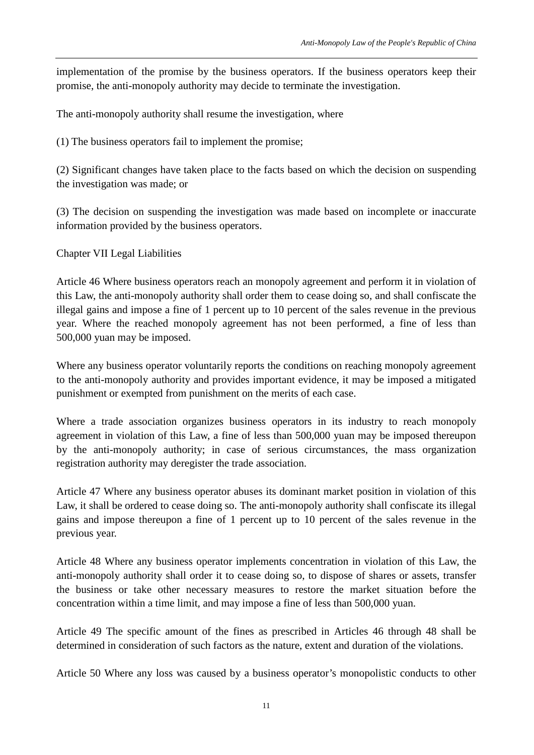implementation of the promise by the business operators. If the business operators keep their promise, the anti-monopoly authority may decide to terminate the investigation.

The anti-monopoly authority shall resume the investigation, where

(1) The business operators fail to implement the promise;

(2) Significant changes have taken place to the facts based on which the decision on suspending the investigation was made; or

(3) The decision on suspending the investigation was made based on incomplete or inaccurate information provided by the business operators.

## Chapter VII Legal Liabilities

Article 46 Where business operators reach an monopoly agreement and perform it in violation of this Law, the anti-monopoly authority shall order them to cease doing so, and shall confiscate the illegal gains and impose a fine of 1 percent up to 10 percent of the sales revenue in the previous year. Where the reached monopoly agreement has not been performed, a fine of less than 500,000 yuan may be imposed.

Where any business operator voluntarily reports the conditions on reaching monopoly agreement to the anti-monopoly authority and provides important evidence, it may be imposed a mitigated punishment or exempted from punishment on the merits of each case.

Where a trade association organizes business operators in its industry to reach monopoly agreement in violation of this Law, a fine of less than 500,000 yuan may be imposed thereupon by the anti-monopoly authority; in case of serious circumstances, the mass organization registration authority may deregister the trade association.

Article 47 Where any business operator abuses its dominant market position in violation of this Law, it shall be ordered to cease doing so. The anti-monopoly authority shall confiscate its illegal gains and impose thereupon a fine of 1 percent up to 10 percent of the sales revenue in the previous year.

Article 48 Where any business operator implements concentration in violation of this Law, the anti-monopoly authority shall order it to cease doing so, to dispose of shares or assets, transfer the business or take other necessary measures to restore the market situation before the concentration within a time limit, and may impose a fine of less than 500,000 yuan.

Article 49 The specific amount of the fines as prescribed in Articles 46 through 48 shall be determined in consideration of such factors as the nature, extent and duration of the violations.

Article 50 Where any loss was caused by a business operator's monopolistic conducts to other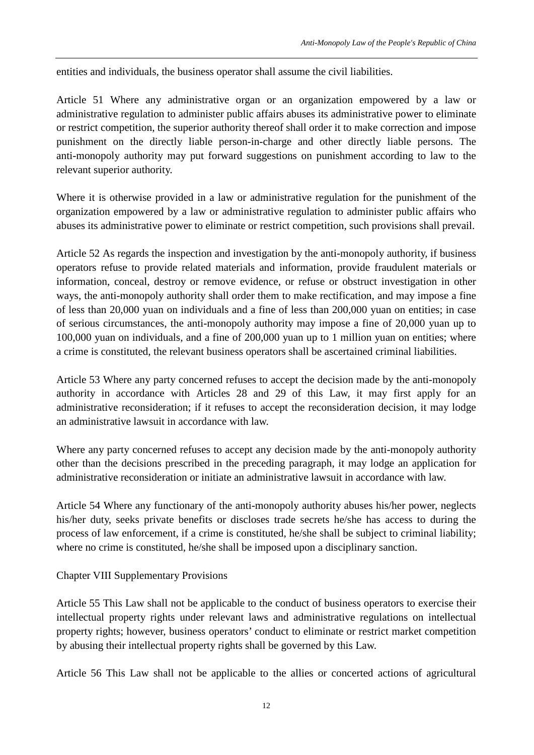entities and individuals, the business operator shall assume the civil liabilities.

Article 51 Where any administrative organ or an organization empowered by a law or administrative regulation to administer public affairs abuses its administrative power to eliminate or restrict competition, the superior authority thereof shall order it to make correction and impose punishment on the directly liable person-in-charge and other directly liable persons. The anti-monopoly authority may put forward suggestions on punishment according to law to the relevant superior authority.

Where it is otherwise provided in a law or administrative regulation for the punishment of the organization empowered by a law or administrative regulation to administer public affairs who abuses its administrative power to eliminate or restrict competition, such provisions shall prevail.

Article 52 As regards the inspection and investigation by the anti-monopoly authority, if business operators refuse to provide related materials and information, provide fraudulent materials or information, conceal, destroy or remove evidence, or refuse or obstruct investigation in other ways, the anti-monopoly authority shall order them to make rectification, and may impose a fine of less than 20,000 yuan on individuals and a fine of less than 200,000 yuan on entities; in case of serious circumstances, the anti-monopoly authority may impose a fine of 20,000 yuan up to 100,000 yuan on individuals, and a fine of 200,000 yuan up to 1 million yuan on entities; where a crime is constituted, the relevant business operators shall be ascertained criminal liabilities.

Article 53 Where any party concerned refuses to accept the decision made by the anti-monopoly authority in accordance with Articles 28 and 29 of this Law, it may first apply for an administrative reconsideration; if it refuses to accept the reconsideration decision, it may lodge an administrative lawsuit in accordance with law.

Where any party concerned refuses to accept any decision made by the anti-monopoly authority other than the decisions prescribed in the preceding paragraph, it may lodge an application for administrative reconsideration or initiate an administrative lawsuit in accordance with law.

Article 54 Where any functionary of the anti-monopoly authority abuses his/her power, neglects his/her duty, seeks private benefits or discloses trade secrets he/she has access to during the process of law enforcement, if a crime is constituted, he/she shall be subject to criminal liability; where no crime is constituted, he/she shall be imposed upon a disciplinary sanction.

Chapter VIII Supplementary Provisions

Article 55 This Law shall not be applicable to the conduct of business operators to exercise their intellectual property rights under relevant laws and administrative regulations on intellectual property rights; however, business operators' conduct to eliminate or restrict market competition by abusing their intellectual property rights shall be governed by this Law.

Article 56 This Law shall not be applicable to the allies or concerted actions of agricultural